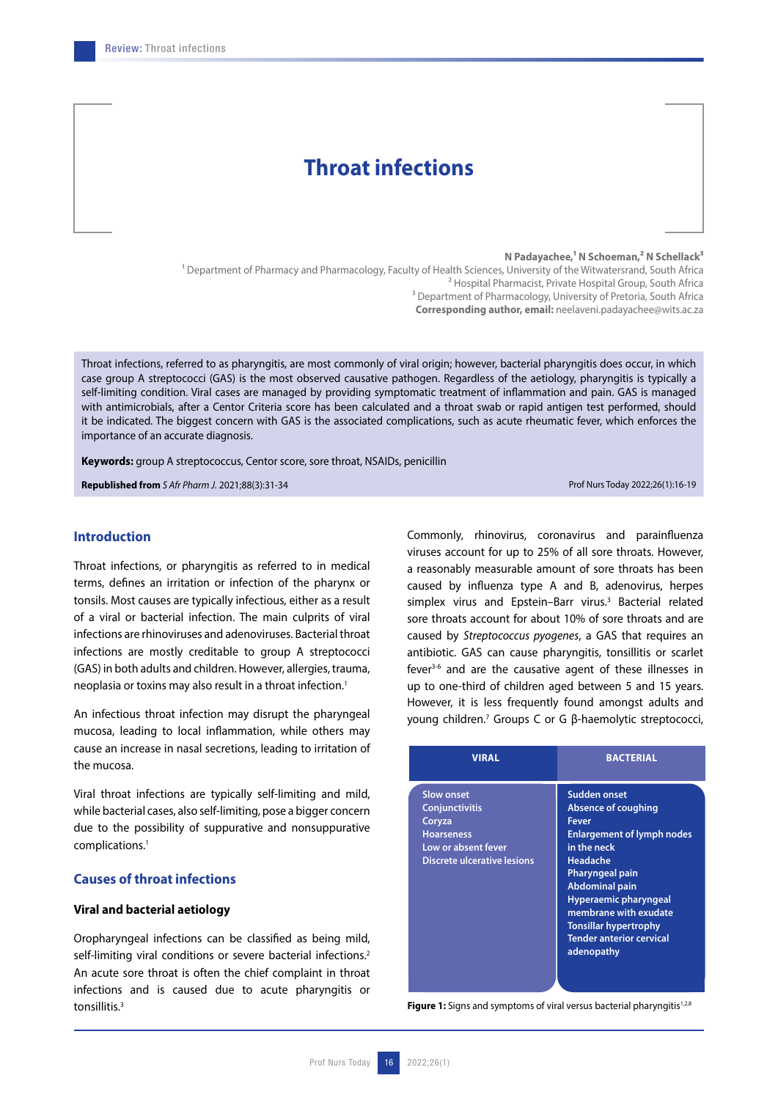# **Throat infections**

#### **N Padayachee,1 N Schoeman,2 N Schellack3**

<sup>1</sup> Department of Pharmacy and Pharmacology, Faculty of Health Sciences, University of the Witwatersrand, South Africa 2 Hospital Pharmacist, Private Hospital Group, South Africa <sup>3</sup> Department of Pharmacology, University of Pretoria, South Africa **Corresponding author, email:** neelaveni.padayachee@wits.ac.za

Throat infections, referred to as pharyngitis, are most commonly of viral origin; however, bacterial pharyngitis does occur, in which case group A streptococci (GAS) is the most observed causative pathogen. Regardless of the aetiology, pharyngitis is typically a self-limiting condition. Viral cases are managed by providing symptomatic treatment of inflammation and pain. GAS is managed with antimicrobials, after a Centor Criteria score has been calculated and a throat swab or rapid antigen test performed, should it be indicated. The biggest concern with GAS is the associated complications, such as acute rheumatic fever, which enforces the importance of an accurate diagnosis.

**Keywords:** group A streptococcus, Centor score, sore throat, NSAIDs, penicillin

**Republished from** *S Afr Pharm J*. 2021;88(3):31-34 Prof Nurs Today 2022;26(1):16-19

# **Introduction**

Throat infections, or pharyngitis as referred to in medical terms, defines an irritation or infection of the pharynx or tonsils. Most causes are typically infectious, either as a result of a viral or bacterial infection. The main culprits of viral infections are rhinoviruses and adenoviruses. Bacterial throat infections are mostly creditable to group A streptococci (GAS) in both adults and children. However, allergies, trauma, neoplasia or toxins may also result in a throat infection.<sup>1</sup>

An infectious throat infection may disrupt the pharyngeal mucosa, leading to local inflammation, while others may cause an increase in nasal secretions, leading to irritation of the mucosa.

Viral throat infections are typically self-limiting and mild, while bacterial cases, also self-limiting, pose a bigger concern due to the possibility of suppurative and nonsuppurative complications.1

# **Causes of throat infections**

# **Viral and bacterial aetiology**

Oropharyngeal infections can be classified as being mild, self-limiting viral conditions or severe bacterial infections.<sup>2</sup> An acute sore throat is often the chief complaint in throat infections and is caused due to acute pharyngitis or tonsillitis.<sup>3</sup>

Commonly, rhinovirus, coronavirus and parainfluenza viruses account for up to 25% of all sore throats. However, a reasonably measurable amount of sore throats has been caused by influenza type A and B, adenovirus, herpes simplex virus and Epstein-Barr virus.<sup>3</sup> Bacterial related sore throats account for about 10% of sore throats and are caused by *Streptococcus pyogenes*, a GAS that requires an antibiotic. GAS can cause pharyngitis, tonsillitis or scarlet fever<sup>3-6</sup> and are the causative agent of these illnesses in up to one-third of children aged between 5 and 15 years. However, it is less frequently found amongst adults and young children.7 Groups C or G β‐haemolytic streptococci,

| <b>VIRAL</b>                                                                                                                    | <b>BACTERIAL</b>                                                                                                                                                                                                                                                                                                        |
|---------------------------------------------------------------------------------------------------------------------------------|-------------------------------------------------------------------------------------------------------------------------------------------------------------------------------------------------------------------------------------------------------------------------------------------------------------------------|
| <b>Slow onset</b><br><b>Conjunctivitis</b><br>Coryza<br><b>Hoarseness</b><br>Low or absent fever<br>Discrete ulcerative lesions | <b>Sudden onset</b><br>Absence of coughing<br><b>Fever</b><br><b>Enlargement of lymph nodes</b><br>in the neck<br><b>Headache</b><br><b>Pharyngeal pain</b><br><b>Abdominal pain</b><br>Hyperaemic pharyngeal<br>membrane with exudate<br><b>Tonsillar hypertrophy</b><br><b>Tender anterior cervical</b><br>adenopathy |

**Figure 1:** Signs and symptoms of viral versus bacterial pharyngitis<sup>1,2,8</sup>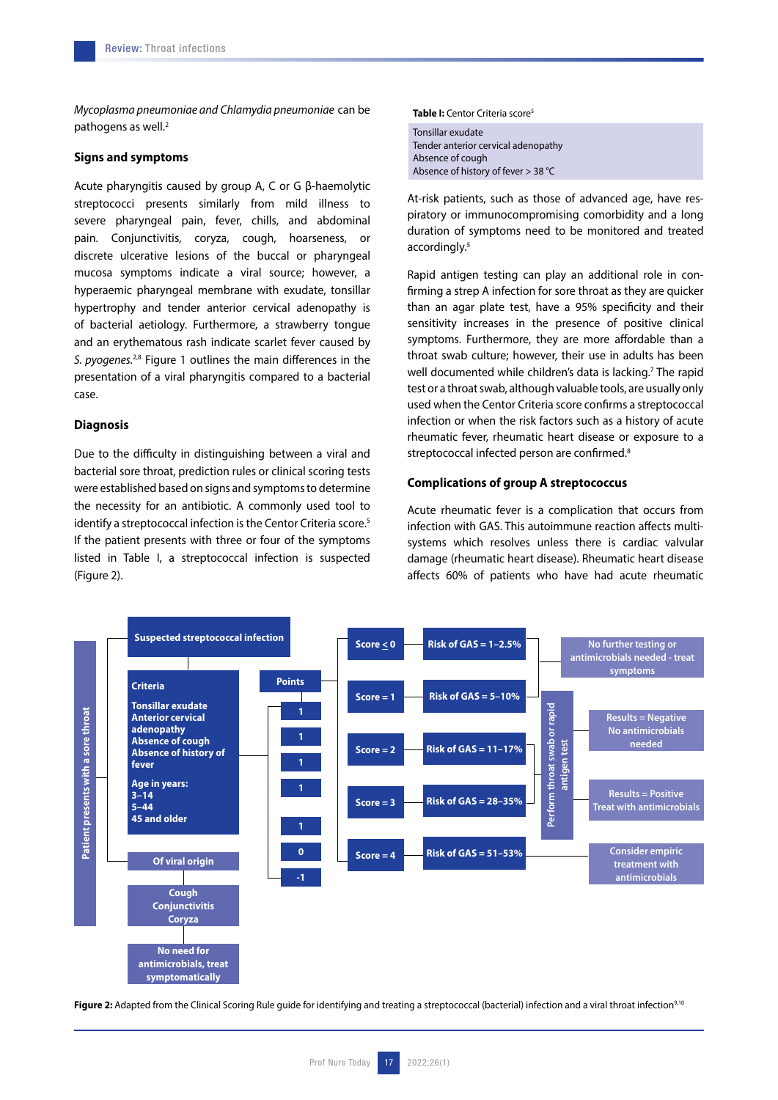*Mycoplasma pneumoniae and Chlamydia pneumoniae* can be pathogens as well.<sup>2</sup>

#### **Signs and symptoms**

Acute pharyngitis caused by group A, C or G β‐haemolytic streptococci presents similarly from mild illness to severe pharyngeal pain, fever, chills, and abdominal pain. Conjunctivitis, coryza, cough, hoarseness, or discrete ulcerative lesions of the buccal or pharyngeal mucosa symptoms indicate a viral source; however, a hyperaemic pharyngeal membrane with exudate, tonsillar hypertrophy and tender anterior cervical adenopathy is of bacterial aetiology. Furthermore, a strawberry tongue and an erythematous rash indicate scarlet fever caused by *S. pyogenes.*2,8 Figure 1 outlines the main differences in the presentation of a viral pharyngitis compared to a bacterial case.

#### **Diagnosis**

Due to the difficulty in distinguishing between a viral and bacterial sore throat, prediction rules or clinical scoring tests were established based on signs and symptoms to determine the necessity for an antibiotic. A commonly used tool to identify a streptococcal infection is the Centor Criteria score.<sup>5</sup> If the patient presents with three or four of the symptoms listed in Table I, a streptococcal infection is suspected (Figure 2).

**Table I:** Centor Criteria score5

Tonsillar exudate Tender anterior cervical adenopathy Absence of cough Absence of history of fever > 38 °C

At-risk patients, such as those of advanced age, have respiratory or immunocompromising comorbidity and a long duration of symptoms need to be monitored and treated accordingly.<sup>5</sup>

Rapid antigen testing can play an additional role in confirming a strep A infection for sore throat as they are quicker than an agar plate test, have a 95% specificity and their sensitivity increases in the presence of positive clinical symptoms. Furthermore, they are more affordable than a throat swab culture; however, their use in adults has been well documented while children's data is lacking.<sup>7</sup> The rapid test or a throat swab, although valuable tools, are usually only used when the Centor Criteria score confirms a streptococcal infection or when the risk factors such as a history of acute rheumatic fever, rheumatic heart disease or exposure to a streptococcal infected person are confirmed.<sup>8</sup>

### **Complications of group A streptococcus**

Acute rheumatic fever is a complication that occurs from infection with GAS. This autoimmune reaction affects multisystems which resolves unless there is cardiac valvular damage (rheumatic heart disease). Rheumatic heart disease affects 60% of patients who have had acute rheumatic



Figure 2: Adapted from the Clinical Scoring Rule guide for identifying and treating a streptococcal (bacterial) infection and a viral throat infection<sup>9,10</sup>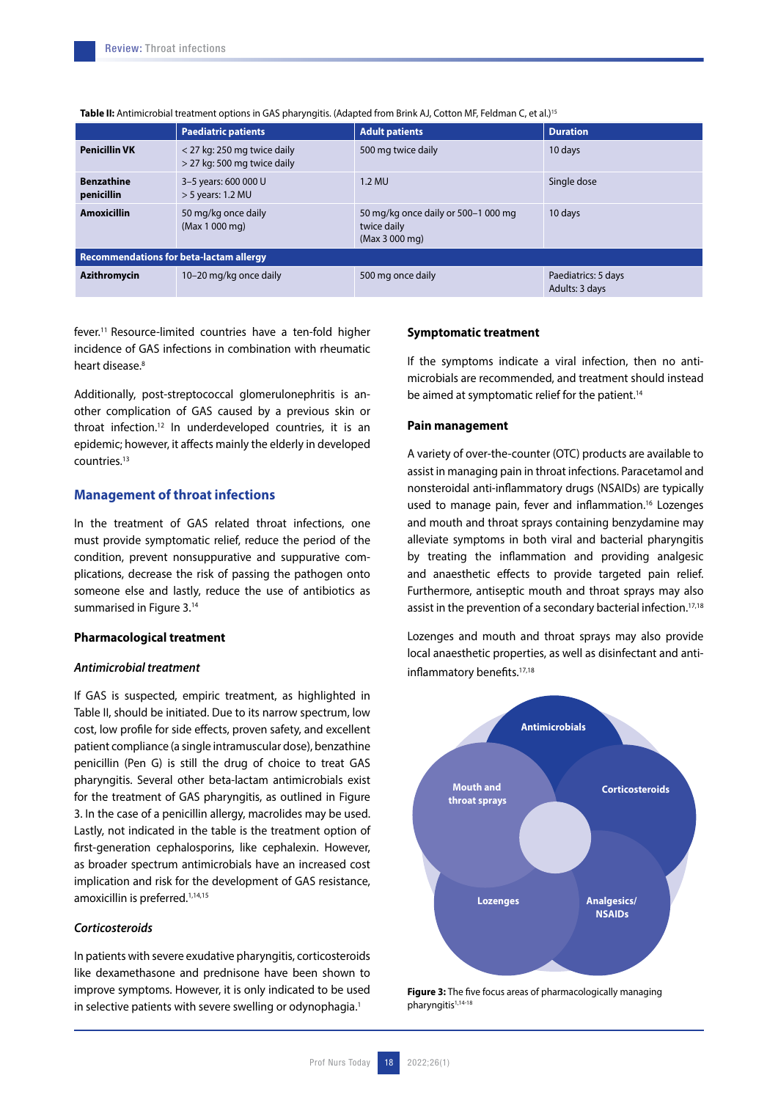|                                                | <b>Paediatric patients</b>                                 | <b>Adult patients</b>                                                | <b>Duration</b>                       |
|------------------------------------------------|------------------------------------------------------------|----------------------------------------------------------------------|---------------------------------------|
| <b>Penicillin VK</b>                           | < 27 kg: 250 mg twice daily<br>> 27 kg: 500 mg twice daily | 500 mg twice daily                                                   | 10 days                               |
| <b>Benzathine</b><br>penicillin                | 3-5 years: 600 000 U<br>$>$ 5 years: 1.2 MU                | $1.2$ MU                                                             | Single dose                           |
| <b>Amoxicillin</b>                             | 50 mg/kg once daily<br>(Max 1 000 mg)                      | 50 mg/kg once daily or 500-1 000 mg<br>twice daily<br>(Max 3 000 mg) | 10 days                               |
| <b>Recommendations for beta-lactam allergy</b> |                                                            |                                                                      |                                       |
| <b>Azithromycin</b>                            | 10-20 mg/kg once daily                                     | 500 mg once daily                                                    | Paediatrics: 5 days<br>Adults: 3 days |

**Table II:** Antimicrobial treatment options in GAS pharyngitis. (Adapted from Brink AJ, Cotton MF, Feldman C, et al.)15

fever.11 Resource-limited countries have a ten-fold higher incidence of GAS infections in combination with rheumatic heart disease.<sup>8</sup>

Additionally, post-streptococcal glomerulonephritis is another complication of GAS caused by a previous skin or throat infection.<sup>12</sup> In underdeveloped countries, it is an epidemic; however, it affects mainly the elderly in developed countries.13

## **Management of throat infections**

In the treatment of GAS related throat infections, one must provide symptomatic relief, reduce the period of the condition, prevent nonsuppurative and suppurative complications, decrease the risk of passing the pathogen onto someone else and lastly, reduce the use of antibiotics as summarised in Figure 3.14

# **Pharmacological treatment**

## *Antimicrobial treatment*

If GAS is suspected, empiric treatment, as highlighted in Table II, should be initiated. Due to its narrow spectrum, low cost, low profile for side effects, proven safety, and excellent patient compliance (a single intramuscular dose), benzathine penicillin (Pen G) is still the drug of choice to treat GAS pharyngitis. Several other beta-lactam antimicrobials exist for the treatment of GAS pharyngitis, as outlined in Figure 3. In the case of a penicillin allergy, macrolides may be used. Lastly, not indicated in the table is the treatment option of first-generation cephalosporins, like cephalexin. However, as broader spectrum antimicrobials have an increased cost implication and risk for the development of GAS resistance, amoxicillin is preferred.<sup>1,14,15</sup>

### *Corticosteroids*

In patients with severe exudative pharyngitis, corticosteroids like dexamethasone and prednisone have been shown to improve symptoms. However, it is only indicated to be used in selective patients with severe swelling or odynophagia.<sup>1</sup>

#### **Symptomatic treatment**

If the symptoms indicate a viral infection, then no antimicrobials are recommended, and treatment should instead be aimed at symptomatic relief for the patient.<sup>14</sup>

#### **Pain management**

A variety of over-the-counter (OTC) products are available to assist in managing pain in throat infections. Paracetamol and nonsteroidal anti-inflammatory drugs (NSAIDs) are typically used to manage pain, fever and inflammation.<sup>16</sup> Lozenges and mouth and throat sprays containing benzydamine may alleviate symptoms in both viral and bacterial pharyngitis by treating the inflammation and providing analgesic and anaesthetic effects to provide targeted pain relief. Furthermore, antiseptic mouth and throat sprays may also assist in the prevention of a secondary bacterial infection.<sup>17,18</sup>

Lozenges and mouth and throat sprays may also provide local anaesthetic properties, as well as disinfectant and antiinflammatory benefits.<sup>17,18</sup>



**Figure 3:** The five focus areas of pharmacologically managing pharyngitis<sup>1,14-18</sup>